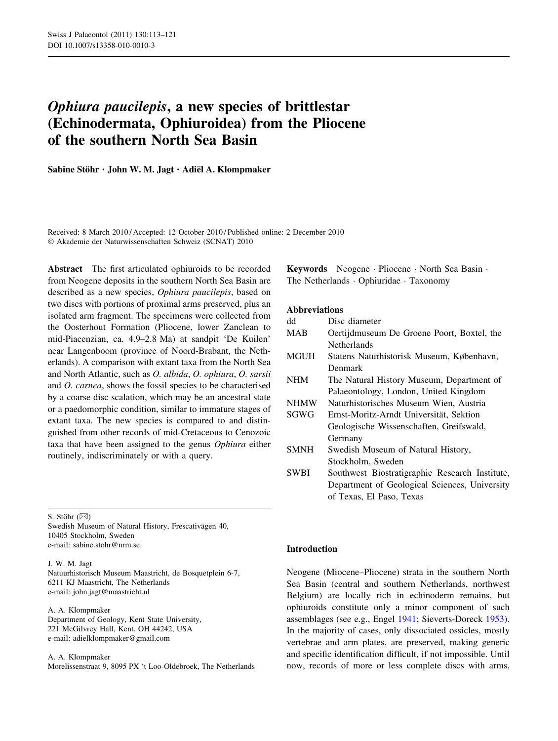# Ophiura paucilepis, a new species of brittlestar (Echinodermata, Ophiuroidea) from the Pliocene of the southern North Sea Basin

Sabine Stöhr · John W. M. Jagt · Adiël A. Klompmaker

Received: 8 March 2010 / Accepted: 12 October 2010 / Published online: 2 December 2010 - Akademie der Naturwissenschaften Schweiz (SCNAT) 2010

Abstract The first articulated ophiuroids to be recorded from Neogene deposits in the southern North Sea Basin are described as a new species, Ophiura paucilepis, based on two discs with portions of proximal arms preserved, plus an isolated arm fragment. The specimens were collected from the Oosterhout Formation (Pliocene, lower Zanclean to mid-Piacenzian, ca. 4.9–2.8 Ma) at sandpit 'De Kuilen' near Langenboom (province of Noord-Brabant, the Netherlands). A comparison with extant taxa from the North Sea and North Atlantic, such as O. albida, O. ophiura, O. sarsii and O. carnea, shows the fossil species to be characterised by a coarse disc scalation, which may be an ancestral state or a paedomorphic condition, similar to immature stages of extant taxa. The new species is compared to and distinguished from other records of mid-Cretaceous to Cenozoic taxa that have been assigned to the genus Ophiura either routinely, indiscriminately or with a query.

S. Stöhr  $(\boxtimes)$ 

Swedish Museum of Natural History, Frescativägen 40, 10405 Stockholm, Sweden e-mail: sabine.stohr@nrm.se

## J. W. M. Jagt

Natuurhistorisch Museum Maastricht, de Bosquetplein 6-7, 6211 KJ Maastricht, The Netherlands e-mail: john.jagt@maastricht.nl

A. A. Klompmaker Department of Geology, Kent State University, 221 McGilvrey Hall, Kent, OH 44242, USA e-mail: adielklompmaker@gmail.com

A. A. Klompmaker Morelissenstraat 9, 8095 PX 't Loo-Oldebroek, The Netherlands Keywords Neogene - Pliocene - North Sea Basin - The Netherlands - Ophiuridae - Taxonomy

# Abbreviations

| dd          | Disc diameter                                  |
|-------------|------------------------------------------------|
| <b>MAB</b>  | Oertijdmuseum De Groene Poort, Boxtel, the     |
|             | Netherlands                                    |
| <b>MGUH</b> | Statens Naturhistorisk Museum, København,      |
|             | Denmark                                        |
| <b>NHM</b>  | The Natural History Museum, Department of      |
|             | Palaeontology, London, United Kingdom          |
| <b>NHMW</b> | Naturhistorisches Museum Wien, Austria         |
| SGWG        | Ernst-Moritz-Arndt Universität, Sektion        |
|             | Geologische Wissenschaften, Greifswald,        |
|             | Germany                                        |
| <b>SMNH</b> | Swedish Museum of Natural History,             |
|             | Stockholm, Sweden                              |
| <b>SWBI</b> | Southwest Biostratigraphic Research Institute, |
|             | Department of Geological Sciences, University  |
|             | of Texas, El Paso, Texas                       |
|             |                                                |

## Introduction

Neogene (Miocene–Pliocene) strata in the southern North Sea Basin (central and southern Netherlands, northwest Belgium) are locally rich in echinoderm remains, but ophiuroids constitute only a minor component of such assemblages (see e.g., Engel [1941;](#page-7-0) Sieverts-Doreck [1953](#page-8-0)). In the majority of cases, only dissociated ossicles, mostly vertebrae and arm plates, are preserved, making generic and specific identification difficult, if not impossible. Until now, records of more or less complete discs with arms,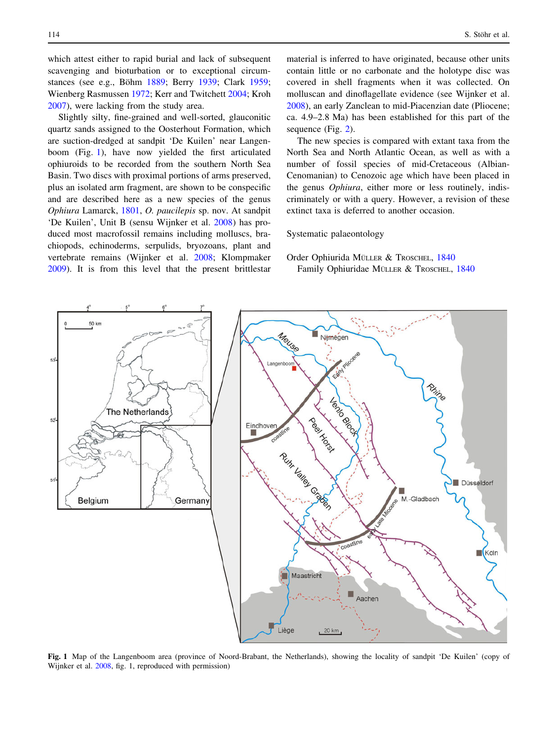which attest either to rapid burial and lack of subsequent scavenging and bioturbation or to exceptional circum-stances (see e.g., Böhm [1889;](#page-7-0) Berry [1939;](#page-7-0) Clark [1959](#page-7-0); Wienberg Rasmussen [1972](#page-8-0); Kerr and Twitchett [2004;](#page-7-0) Kroh [2007\)](#page-7-0), were lacking from the study area.

Slightly silty, fine-grained and well-sorted, glauconitic quartz sands assigned to the Oosterhout Formation, which are suction-dredged at sandpit 'De Kuilen' near Langenboom (Fig. 1), have now yielded the first articulated ophiuroids to be recorded from the southern North Sea Basin. Two discs with proximal portions of arms preserved, plus an isolated arm fragment, are shown to be conspecific and are described here as a new species of the genus Ophiura Lamarck, [1801](#page-8-0), O. paucilepis sp. nov. At sandpit 'De Kuilen', Unit B (sensu Wijnker et al. [2008](#page-8-0)) has produced most macrofossil remains including molluscs, brachiopods, echinoderms, serpulids, bryozoans, plant and vertebrate remains (Wijnker et al. [2008](#page-8-0); Klompmaker [2009\)](#page-7-0). It is from this level that the present brittlestar material is inferred to have originated, because other units contain little or no carbonate and the holotype disc was covered in shell fragments when it was collected. On molluscan and dinoflagellate evidence (see Wijnker et al. [2008](#page-8-0)), an early Zanclean to mid-Piacenzian date (Pliocene; ca. 4.9–2.8 Ma) has been established for this part of the sequence (Fig. [2\)](#page-2-0).

The new species is compared with extant taxa from the North Sea and North Atlantic Ocean, as well as with a number of fossil species of mid-Cretaceous (Albian-Cenomanian) to Cenozoic age which have been placed in the genus Ophiura, either more or less routinely, indiscriminately or with a query. However, a revision of these extinct taxa is deferred to another occasion.

Systematic palaeontology

# Order Ophiurida MÜLLER & TROSCHEL, [1840](#page-8-0) Family Ophiuridae MÜLLER & TROSCHEL, [1840](#page-8-0)



Fig. 1 Map of the Langenboom area (province of Noord-Brabant, the Netherlands), showing the locality of sandpit 'De Kuilen' (copy of Wijnker et al. [2008,](#page-8-0) fig. 1, reproduced with permission)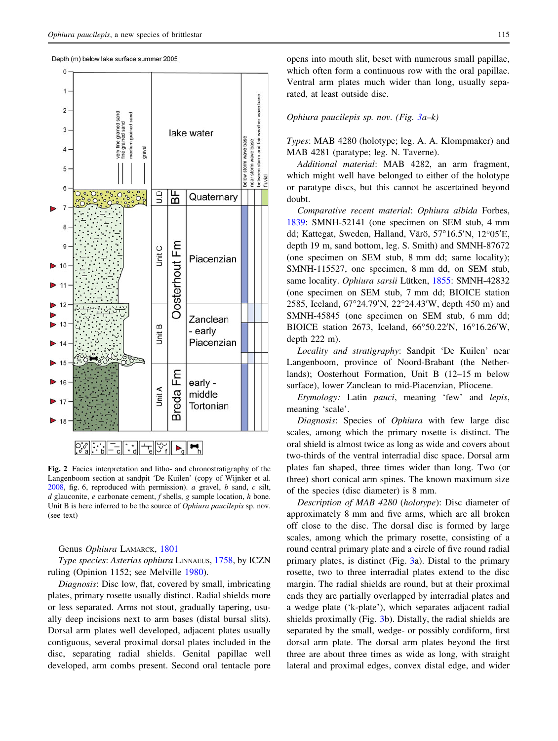Depth (m) below lake surface summer 2005

<span id="page-2-0"></span>

Fig. 2 Facies interpretation and litho- and chronostratigraphy of the Langenboom section at sandpit 'De Kuilen' (copy of Wijnker et al. [2008,](#page-8-0) fig. 6, reproduced with permission). a gravel, b sand, c silt,  $d$  glauconite,  $e$  carbonate cement,  $f$  shells,  $g$  sample location,  $h$  bone. Unit B is here inferred to be the source of *Ophiura paucilepis* sp. nov. (see text)

Genus Ophiura LAMARCK, [1801](#page-8-0)

Type species: Asterias ophiura LINNAEUS, [1758,](#page-8-0) by ICZN ruling (Opinion 1152; see Melville [1980](#page-8-0)).

Diagnosis: Disc low, flat, covered by small, imbricating plates, primary rosette usually distinct. Radial shields more or less separated. Arms not stout, gradually tapering, usually deep incisions next to arm bases (distal bursal slits). Dorsal arm plates well developed, adjacent plates usually contiguous, several proximal dorsal plates included in the disc, separating radial shields. Genital papillae well developed, arm combs present. Second oral tentacle pore opens into mouth slit, beset with numerous small papillae, which often form a continuous row with the oral papillae. Ventral arm plates much wider than long, usually separated, at least outside disc.

## Ophiura paucilepis sp. nov. (Fig.  $3a-k$  $3a-k$ )

Types: MAB 4280 (holotype; leg. A. A. Klompmaker) and MAB 4281 (paratype; leg. N. Taverne).

Additional material: MAB 4282, an arm fragment, which might well have belonged to either of the holotype or paratype discs, but this cannot be ascertained beyond doubt.

Comparative recent material: Ophiura albida Forbes, [1839](#page-7-0): SMNH-52141 (one specimen on SEM stub, 4 mm dd; Kattegat, Sweden, Halland, Värö, 57°16.5'N, 12°05'E, depth 19 m, sand bottom, leg. S. Smith) and SMNH-87672 (one specimen on SEM stub, 8 mm dd; same locality); SMNH-115527, one specimen, 8 mm dd, on SEM stub, same locality. Ophiura sarsii Lütken, [1855](#page-8-0): SMNH-42832 (one specimen on SEM stub, 7 mm dd; BIOICE station 2585, Iceland, 67°24.79'N, 22°24.43'W, depth 450 m) and SMNH-45845 (one specimen on SEM stub, 6 mm dd; BIOICE station 2673, Iceland, 66°50.22'N, 16°16.26'W, depth 222 m).

Locality and stratigraphy: Sandpit 'De Kuilen' near Langenboom, province of Noord-Brabant (the Netherlands); Oosterhout Formation, Unit B (12–15 m below surface), lower Zanclean to mid-Piacenzian, Pliocene.

Etymology: Latin pauci, meaning 'few' and lepis, meaning 'scale'.

Diagnosis: Species of Ophiura with few large disc scales, among which the primary rosette is distinct. The oral shield is almost twice as long as wide and covers about two-thirds of the ventral interradial disc space. Dorsal arm plates fan shaped, three times wider than long. Two (or three) short conical arm spines. The known maximum size of the species (disc diameter) is 8 mm.

Description of MAB 4280 (holotype): Disc diameter of approximately 8 mm and five arms, which are all broken off close to the disc. The dorsal disc is formed by large scales, among which the primary rosette, consisting of a round central primary plate and a circle of five round radial primary plates, is distinct (Fig. [3a](#page-3-0)). Distal to the primary rosette, two to three interradial plates extend to the disc margin. The radial shields are round, but at their proximal ends they are partially overlapped by interradial plates and a wedge plate ('k-plate'), which separates adjacent radial shields proximally (Fig. [3b](#page-3-0)). Distally, the radial shields are separated by the small, wedge- or possibly cordiform, first dorsal arm plate. The dorsal arm plates beyond the first three are about three times as wide as long, with straight lateral and proximal edges, convex distal edge, and wider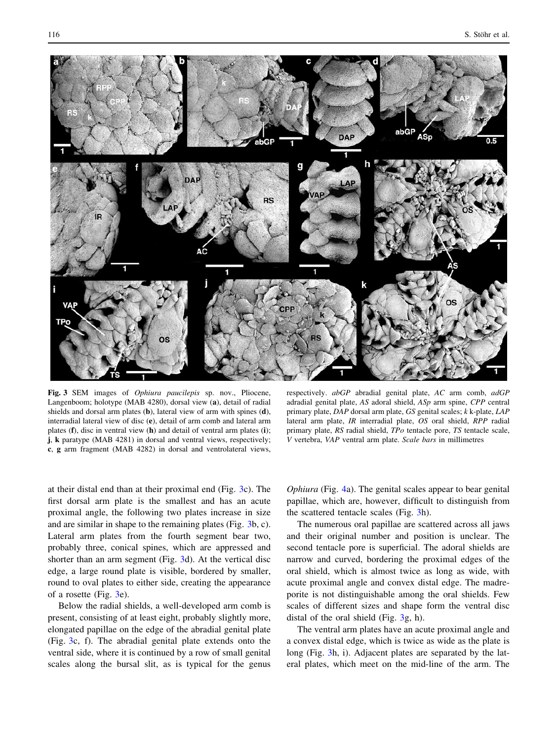<span id="page-3-0"></span>

Fig. 3 SEM images of *Ophiura paucilepis* sp. nov., Pliocene, Langenboom; holotype (MAB 4280), dorsal view (a), detail of radial shields and dorsal arm plates (b), lateral view of arm with spines (d), interradial lateral view of disc (e), detail of arm comb and lateral arm plates (f), disc in ventral view (h) and detail of ventral arm plates (i); j, k paratype (MAB 4281) in dorsal and ventral views, respectively; c, g arm fragment (MAB 4282) in dorsal and ventrolateral views,

respectively. abGP abradial genital plate, AC arm comb, adGP adradial genital plate, AS adoral shield, ASp arm spine, CPP central primary plate, DAP dorsal arm plate, GS genital scales; k k-plate, LAP lateral arm plate, IR interradial plate, OS oral shield, RPP radial primary plate, RS radial shield, TPo tentacle pore, TS tentacle scale, V vertebra, VAP ventral arm plate. Scale bars in millimetres

at their distal end than at their proximal end (Fig. 3c). The first dorsal arm plate is the smallest and has an acute proximal angle, the following two plates increase in size and are similar in shape to the remaining plates (Fig. 3b, c). Lateral arm plates from the fourth segment bear two, probably three, conical spines, which are appressed and shorter than an arm segment (Fig. 3d). At the vertical disc edge, a large round plate is visible, bordered by smaller, round to oval plates to either side, creating the appearance of a rosette (Fig. 3e).

Below the radial shields, a well-developed arm comb is present, consisting of at least eight, probably slightly more, elongated papillae on the edge of the abradial genital plate (Fig. 3c, f). The abradial genital plate extends onto the ventral side, where it is continued by a row of small genital scales along the bursal slit, as is typical for the genus Ophiura (Fig. [4a](#page-5-0)). The genital scales appear to bear genital papillae, which are, however, difficult to distinguish from the scattered tentacle scales (Fig. 3h).

The numerous oral papillae are scattered across all jaws and their original number and position is unclear. The second tentacle pore is superficial. The adoral shields are narrow and curved, bordering the proximal edges of the oral shield, which is almost twice as long as wide, with acute proximal angle and convex distal edge. The madreporite is not distinguishable among the oral shields. Few scales of different sizes and shape form the ventral disc distal of the oral shield (Fig. 3g, h).

The ventral arm plates have an acute proximal angle and a convex distal edge, which is twice as wide as the plate is long (Fig. 3h, i). Adjacent plates are separated by the lateral plates, which meet on the mid-line of the arm. The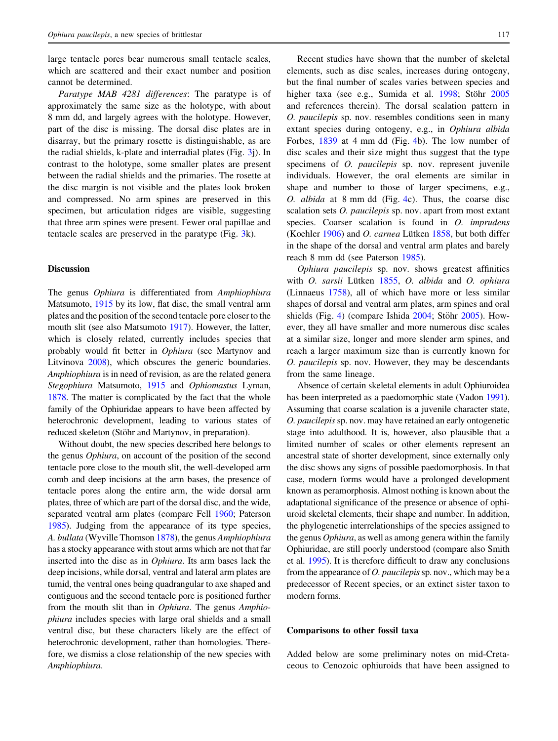large tentacle pores bear numerous small tentacle scales, which are scattered and their exact number and position cannot be determined.

Paratype MAB 4281 differences: The paratype is of approximately the same size as the holotype, with about 8 mm dd, and largely agrees with the holotype. However, part of the disc is missing. The dorsal disc plates are in disarray, but the primary rosette is distinguishable, as are the radial shields, k-plate and interradial plates (Fig. [3j](#page-3-0)). In contrast to the holotype, some smaller plates are present between the radial shields and the primaries. The rosette at the disc margin is not visible and the plates look broken and compressed. No arm spines are preserved in this specimen, but articulation ridges are visible, suggesting that three arm spines were present. Fewer oral papillae and tentacle scales are preserved in the paratype (Fig. [3k](#page-3-0)).

#### **Discussion**

The genus Ophiura is differentiated from Amphiophiura Matsumoto, [1915](#page-8-0) by its low, flat disc, the small ventral arm plates and the position of the second tentacle pore closer to the mouth slit (see also Matsumoto [1917\)](#page-8-0). However, the latter, which is closely related, currently includes species that probably would fit better in Ophiura (see Martynov and Litvinova [2008\)](#page-8-0), which obscures the generic boundaries. Amphiophiura is in need of revision, as are the related genera Stegophiura Matsumoto, [1915](#page-8-0) and Ophiomastus Lyman, [1878.](#page-8-0) The matter is complicated by the fact that the whole family of the Ophiuridae appears to have been affected by heterochronic development, leading to various states of reduced skeleton (Stöhr and Martynov, in preparation).

Without doubt, the new species described here belongs to the genus Ophiura, on account of the position of the second tentacle pore close to the mouth slit, the well-developed arm comb and deep incisions at the arm bases, the presence of tentacle pores along the entire arm, the wide dorsal arm plates, three of which are part of the dorsal disc, and the wide, separated ventral arm plates (compare Fell [1960;](#page-7-0) Paterson [1985\)](#page-8-0). Judging from the appearance of its type species, A. bullata (Wyville Thomson [1878](#page-8-0)), the genus Amphiophiura has a stocky appearance with stout arms which are not that far inserted into the disc as in Ophiura. Its arm bases lack the deep incisions, while dorsal, ventral and lateral arm plates are tumid, the ventral ones being quadrangular to axe shaped and contiguous and the second tentacle pore is positioned further from the mouth slit than in *Ophiura*. The genus *Amphio*phiura includes species with large oral shields and a small ventral disc, but these characters likely are the effect of heterochronic development, rather than homologies. Therefore, we dismiss a close relationship of the new species with Amphiophiura.

Recent studies have shown that the number of skeletal elements, such as disc scales, increases during ontogeny, but the final number of scales varies between species and higher taxa (see e.g., Sumida et al. [1998;](#page-8-0) Stöhr [2005](#page-8-0) and references therein). The dorsal scalation pattern in O. paucilepis sp. nov. resembles conditions seen in many extant species during ontogeny, e.g., in Ophiura albida Forbes, [1839](#page-7-0) at 4 mm dd (Fig. [4b](#page-5-0)). The low number of disc scales and their size might thus suggest that the type specimens of *O. paucilepis* sp. nov. represent juvenile individuals. However, the oral elements are similar in shape and number to those of larger specimens, e.g., O. albida at 8 mm dd (Fig. [4](#page-5-0)c). Thus, the coarse disc scalation sets *O. paucilepis* sp. nov. apart from most extant species. Coarser scalation is found in O. *imprudens* (Koehler [1906](#page-7-0)) and O. carnea Lütken  $1858$ , but both differ in the shape of the dorsal and ventral arm plates and barely reach 8 mm dd (see Paterson [1985\)](#page-8-0).

Ophiura paucilepis sp. nov. shows greatest affinities with O. sarsii Lütken [1855,](#page-8-0) O. albida and O. ophiura (Linnaeus [1758](#page-8-0)), all of which have more or less similar shapes of dorsal and ventral arm plates, arm spines and oral shields (Fig. [4\)](#page-5-0) (compare Ishida  $2004$ ; Stöhr  $2005$ ). However, they all have smaller and more numerous disc scales at a similar size, longer and more slender arm spines, and reach a larger maximum size than is currently known for O. paucilepis sp. nov. However, they may be descendants from the same lineage.

Absence of certain skeletal elements in adult Ophiuroidea has been interpreted as a paedomorphic state (Vadon [1991\)](#page-8-0). Assuming that coarse scalation is a juvenile character state, O. paucilepis sp. nov. may have retained an early ontogenetic stage into adulthood. It is, however, also plausible that a limited number of scales or other elements represent an ancestral state of shorter development, since externally only the disc shows any signs of possible paedomorphosis. In that case, modern forms would have a prolonged development known as peramorphosis. Almost nothing is known about the adaptational significance of the presence or absence of ophiuroid skeletal elements, their shape and number. In addition, the phylogenetic interrelationships of the species assigned to the genus Ophiura, as well as among genera within the family Ophiuridae, are still poorly understood (compare also Smith et al. [1995](#page-8-0)). It is therefore difficult to draw any conclusions from the appearance of  $O$ . *paucilepis* sp. nov., which may be a predecessor of Recent species, or an extinct sister taxon to modern forms.

# Comparisons to other fossil taxa

Added below are some preliminary notes on mid-Cretaceous to Cenozoic ophiuroids that have been assigned to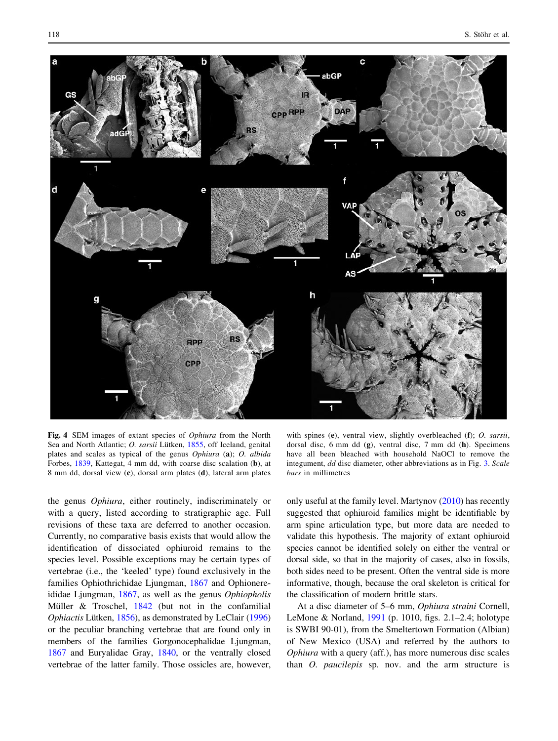<span id="page-5-0"></span>

Fig. 4 SEM images of extant species of Ophiura from the North Sea and North Atlantic; O. sarsii Lütken, [1855](#page-8-0), off Iceland, genital plates and scales as typical of the genus Ophiura (a); O. albida Forbes, [1839,](#page-7-0) Kattegat, 4 mm dd, with coarse disc scalation (b), at 8 mm dd, dorsal view (c), dorsal arm plates (d), lateral arm plates

the genus Ophiura, either routinely, indiscriminately or with a query, listed according to stratigraphic age. Full revisions of these taxa are deferred to another occasion. Currently, no comparative basis exists that would allow the identification of dissociated ophiuroid remains to the species level. Possible exceptions may be certain types of vertebrae (i.e., the 'keeled' type) found exclusively in the families Ophiothrichidae Ljungman, [1867](#page-8-0) and Ophionereididae Ljungman, [1867](#page-8-0), as well as the genus Ophiopholis Müller  $& Troschel, 1842$  $& Troschel, 1842$  (but not in the confamilial Ophiactis Lütken, [1856\)](#page-8-0), as demonstrated by LeClair [\(1996\)](#page-8-0) or the peculiar branching vertebrae that are found only in members of the families Gorgonocephalidae Ljungman, [1867](#page-8-0) and Euryalidae Gray, [1840,](#page-7-0) or the ventrally closed vertebrae of the latter family. Those ossicles are, however,

with spines (e), ventral view, slightly overbleached (f); O. sarsii, dorsal disc, 6 mm dd (g), ventral disc, 7 mm dd (h). Specimens have all been bleached with household NaOCl to remove the integument, dd disc diameter, other abbreviations as in Fig. [3.](#page-3-0) Scale bars in millimetres

only useful at the family level. Martynov [\(2010\)](#page-8-0) has recently suggested that ophiuroid families might be identifiable by arm spine articulation type, but more data are needed to validate this hypothesis. The majority of extant ophiuroid species cannot be identified solely on either the ventral or dorsal side, so that in the majority of cases, also in fossils, both sides need to be present. Often the ventral side is more informative, though, because the oral skeleton is critical for the classification of modern brittle stars.

At a disc diameter of 5–6 mm, Ophiura straini Cornell, LeMone & Norland, [1991](#page-7-0) (p. 1010, figs. 2.1–2.4; holotype is SWBI 90-01), from the Smeltertown Formation (Albian) of New Mexico (USA) and referred by the authors to Ophiura with a query (aff.), has more numerous disc scales than O. paucilepis sp. nov. and the arm structure is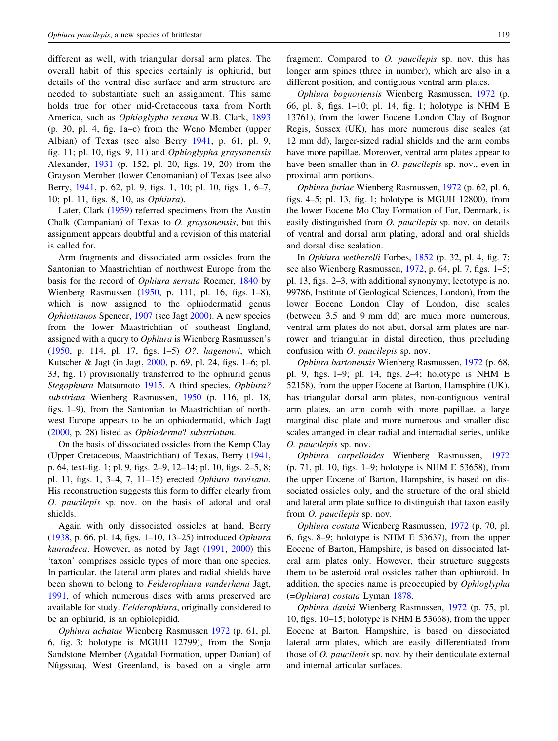different as well, with triangular dorsal arm plates. The overall habit of this species certainly is ophiurid, but details of the ventral disc surface and arm structure are needed to substantiate such an assignment. This same holds true for other mid-Cretaceous taxa from North America, such as Ophioglypha texana W.B. Clark, [1893](#page-7-0) (p. 30, pl. 4, fig. 1a–c) from the Weno Member (upper Albian) of Texas (see also Berry [1941](#page-7-0), p. 61, pl. 9, fig. 11; pl. 10, figs. 9, 11) and Ophioglypha graysonensis Alexander, [1931](#page-7-0) (p. 152, pl. 20, figs. 19, 20) from the Grayson Member (lower Cenomanian) of Texas (see also Berry, [1941,](#page-7-0) p. 62, pl. 9, figs. 1, 10; pl. 10, figs. 1, 6–7, 10; pl. 11, figs. 8, 10, as Ophiura).

Later, Clark [\(1959](#page-7-0)) referred specimens from the Austin Chalk (Campanian) of Texas to O. graysonensis, but this assignment appears doubtful and a revision of this material is called for.

Arm fragments and dissociated arm ossicles from the Santonian to Maastrichtian of northwest Europe from the basis for the record of Ophiura serrata Roemer, [1840](#page-8-0) by Wienberg Rasmussen ([1950,](#page-8-0) p. 111, pl. 16, figs. 1–8), which is now assigned to the ophiodermatid genus Ophiotitanos Spencer, [1907](#page-8-0) (see Jagt [2000\)](#page-7-0). A new species from the lower Maastrichtian of southeast England, assigned with a query to Ophiura is Wienberg Rasmussen's [\(1950](#page-8-0), p. 114, pl. 17, figs. 1–5) O?. hagenowi, which Kutscher & Jagt (in Jagt, [2000,](#page-7-0) p. 69, pl. 24, figs. 1–6; pl. 33, fig. 1) provisionally transferred to the ophiurid genus Stegophiura Matsumoto [1915.](#page-8-0) A third species, Ophiura? substriata Wienberg Rasmussen, [1950](#page-8-0) (p. 116, pl. 18, figs. 1–9), from the Santonian to Maastrichtian of northwest Europe appears to be an ophiodermatid, which Jagt [\(2000](#page-7-0), p. 28) listed as Ophioderma? substriatum.

On the basis of dissociated ossicles from the Kemp Clay (Upper Cretaceous, Maastrichtian) of Texas, Berry ([1941,](#page-7-0) p. 64, text-fig. 1; pl. 9, figs. 2–9, 12–14; pl. 10, figs. 2–5, 8; pl. 11, figs. 1, 3–4, 7, 11–15) erected Ophiura travisana. His reconstruction suggests this form to differ clearly from O. paucilepis sp. nov. on the basis of adoral and oral shields.

Again with only dissociated ossicles at hand, Berry [\(1938](#page-7-0), p. 66, pl. 14, figs. 1–10, 13–25) introduced Ophiura kunradeca. However, as noted by Jagt [\(1991](#page-7-0), [2000](#page-7-0)) this 'taxon' comprises ossicle types of more than one species. In particular, the lateral arm plates and radial shields have been shown to belong to Felderophiura vanderhami Jagt, [1991,](#page-7-0) of which numerous discs with arms preserved are available for study. Felderophiura, originally considered to be an ophiurid, is an ophiolepidid.

Ophiura achatae Wienberg Rasmussen [1972](#page-8-0) (p. 61, pl. 6, fig. 3; holotype is MGUH 12799), from the Sonja Sandstone Member (Agatdal Formation, upper Danian) of Nûgssuaq, West Greenland, is based on a single arm fragment. Compared to O. paucilepis sp. nov. this has longer arm spines (three in number), which are also in a different position, and contiguous ventral arm plates.

Ophiura bognoriensis Wienberg Rasmussen, [1972](#page-8-0) (p. 66, pl. 8, figs. 1–10; pl. 14, fig. 1; holotype is NHM E 13761), from the lower Eocene London Clay of Bognor Regis, Sussex (UK), has more numerous disc scales (at 12 mm dd), larger-sized radial shields and the arm combs have more papillae. Moreover, ventral arm plates appear to have been smaller than in *O. paucilepis* sp. nov., even in proximal arm portions.

Ophiura furiae Wienberg Rasmussen, [1972](#page-8-0) (p. 62, pl. 6, figs. 4–5; pl. 13, fig. 1; holotype is MGUH 12800), from the lower Eocene Mo Clay Formation of Fur, Denmark, is easily distinguished from O. paucilepis sp. nov. on details of ventral and dorsal arm plating, adoral and oral shields and dorsal disc scalation.

In Ophiura wetherelli Forbes, [1852](#page-7-0) (p. 32, pl. 4, fig. 7; see also Wienberg Rasmussen, [1972,](#page-8-0) p. 64, pl. 7, figs. 1–5; pl. 13, figs. 2–3, with additional synonymy; lectotype is no. 99786, Institute of Geological Sciences, London), from the lower Eocene London Clay of London, disc scales (between 3.5 and 9 mm dd) are much more numerous, ventral arm plates do not abut, dorsal arm plates are narrower and triangular in distal direction, thus precluding confusion with O. paucilepis sp. nov.

Ophiura bartonensis Wienberg Rasmussen, [1972](#page-8-0) (p. 68, pl. 9, figs. 1–9; pl. 14, figs. 2–4; holotype is NHM E 52158), from the upper Eocene at Barton, Hamsphire (UK), has triangular dorsal arm plates, non-contiguous ventral arm plates, an arm comb with more papillae, a large marginal disc plate and more numerous and smaller disc scales arranged in clear radial and interradial series, unlike O. paucilepis sp. nov.

Ophiura carpelloides Wienberg Rasmussen, [1972](#page-8-0) (p. 71, pl. 10, figs. 1–9; holotype is NHM E 53658), from the upper Eocene of Barton, Hampshire, is based on dissociated ossicles only, and the structure of the oral shield and lateral arm plate suffice to distinguish that taxon easily from *O. paucilepis* sp. nov.

Ophiura costata Wienberg Rasmussen, [1972](#page-8-0) (p. 70, pl. 6, figs. 8–9; holotype is NHM E 53637), from the upper Eocene of Barton, Hampshire, is based on dissociated lateral arm plates only. However, their structure suggests them to be asteroid oral ossicles rather than ophiuroid. In addition, the species name is preoccupied by Ophioglypha (=Ophiura) costata Lyman [1878](#page-8-0).

Ophiura davisi Wienberg Rasmussen, [1972](#page-8-0) (p. 75, pl. 10, figs. 10–15; holotype is NHM E 53668), from the upper Eocene at Barton, Hampshire, is based on dissociated lateral arm plates, which are easily differentiated from those of O. paucilepis sp. nov. by their denticulate external and internal articular surfaces.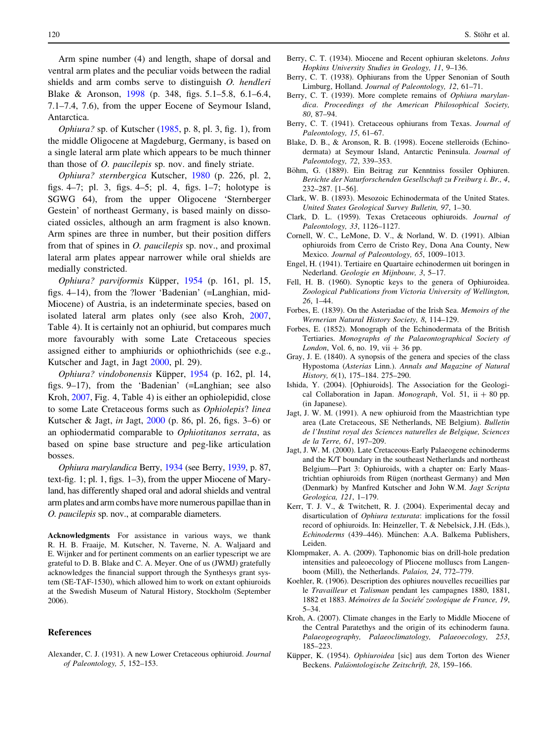<span id="page-7-0"></span>Arm spine number (4) and length, shape of dorsal and ventral arm plates and the peculiar voids between the radial shields and arm combs serve to distinguish O. hendleri Blake & Aronson, 1998 (p. 348, figs. 5.1–5.8, 6.1–6.4, 7.1–7.4, 7.6), from the upper Eocene of Seymour Island, Antarctica.

*Ophiura?* sp. of Kutscher  $(1985, p. 8, p. 3, fig. 1)$  $(1985, p. 8, p. 3, fig. 1)$ , from the middle Oligocene at Magdeburg, Germany, is based on a single lateral arm plate which appears to be much thinner than those of *O. paucilepis* sp. nov. and finely striate.

Ophiura? sternbergica Kutscher, [1980](#page-8-0) (p. 226, pl. 2, figs. 4–7; pl. 3, figs. 4–5; pl. 4, figs. 1–7; holotype is SGWG 64), from the upper Oligocene 'Sternberger Gestein' of northeast Germany, is based mainly on dissociated ossicles, although an arm fragment is also known. Arm spines are three in number, but their position differs from that of spines in O. paucilepis sp. nov., and proximal lateral arm plates appear narrower while oral shields are medially constricted.

Ophiura? parviformis Küpper, 1954 (p. 161, pl. 15, figs. 4–14), from the ?lower 'Badenian' (=Langhian, mid-Miocene) of Austria, is an indeterminate species, based on isolated lateral arm plates only (see also Kroh, 2007, Table 4). It is certainly not an ophiurid, but compares much more favourably with some Late Cretaceous species assigned either to amphiurids or ophiothrichids (see e.g., Kutscher and Jagt, in Jagt 2000, pl. 29).

Ophiura? vindobonensis Küpper, 1954 (p. 162, pl. 14, figs. 9–17), from the 'Badenian' (=Langhian; see also Kroh, 2007, Fig. 4, Table 4) is either an ophiolepidid, close to some Late Cretaceous forms such as Ophiolepis? linea Kutscher & Jagt, in Jagt, 2000 (p. 86, pl. 26, figs. 3–6) or an ophiodermatid comparable to Ophiotitanos serrata, as based on spine base structure and peg-like articulation bosses.

Ophiura marylandica Berry, 1934 (see Berry, 1939, p. 87, text-fig. 1; pl. 1, figs. 1–3), from the upper Miocene of Maryland, has differently shaped oral and adoral shields and ventral arm plates and arm combs have more numerous papillae than in O. paucilepis sp. nov., at comparable diameters.

Acknowledgments For assistance in various ways, we thank R. H. B. Fraaije, M. Kutscher, N. Taverne, N. A. Waljaard and E. Wijnker and for pertinent comments on an earlier typescript we are grateful to D. B. Blake and C. A. Meyer. One of us (JWMJ) gratefully acknowledges the financial support through the Synthesys grant system (SE-TAF-1530), which allowed him to work on extant ophiuroids at the Swedish Museum of Natural History, Stockholm (September 2006).

## References

Alexander, C. J. (1931). A new Lower Cretaceous ophiuroid. Journal of Paleontology, 5, 152–153.

- Berry, C. T. (1934). Miocene and Recent ophiuran skeletons. Johns Hopkins University Studies in Geology, 11, 9–136.
- Berry, C. T. (1938). Ophiurans from the Upper Senonian of South Limburg, Holland. Journal of Paleontology, 12, 61–71.
- Berry, C. T. (1939). More complete remains of *Ophiura marylan*dica. Proceedings of the American Philosophical Society, 80, 87–94.
- Berry, C. T. (1941). Cretaceous ophiurans from Texas. Journal of Paleontology, 15, 61–67.
- Blake, D. B., & Aronson, R. B. (1998). Eocene stelleroids (Echinodermata) at Seymour Island, Antarctic Peninsula. Journal of Paleontology, 72, 339–353.
- Böhm, G. (1889). Ein Beitrag zur Kenntniss fossiler Ophiuren. Berichte der Naturforschenden Gesellschaft zu Freiburg i. Br., 4, 232–287. [1–56].
- Clark, W. B. (1893). Mesozoic Echinodermata of the United States. United States Geological Survey Bulletin, 97, 1–30.
- Clark, D. L. (1959). Texas Cretaceous ophiuroids. Journal of Paleontology, 33, 1126–1127.
- Cornell, W. C., LeMone, D. V., & Norland, W. D. (1991). Albian ophiuroids from Cerro de Cristo Rey, Dona Ana County, New Mexico. Journal of Paleontology, 65, 1009–1013.
- Engel, H. (1941). Tertiaire en Quartaire echinodermen uit boringen in Nederland. Geologie en Mijnbouw, 3, 5–17.
- Fell, H. B. (1960). Synoptic keys to the genera of Ophiuroidea. Zoological Publications from Victoria University of Wellington, 26, 1–44.
- Forbes, E. (1839). On the Asteriadae of the Irish Sea. Memoirs of the Wernerian Natural History Society, 8, 114–129.
- Forbes, E. (1852). Monograph of the Echinodermata of the British Tertiaries. Monographs of the Palaeontographical Society of London, Vol. 6, no. 19, vii  $+36$  pp.
- Gray, J. E. (1840). A synopsis of the genera and species of the class Hypostoma (Asterias Linn.). Annals and Magazine of Natural History, 6(1), 175–184. 275–290.
- Ishida, Y. (2004). [Ophiuroids]. The Association for the Geological Collaboration in Japan. Monograph, Vol. 51, ii  $+80$  pp. (in Japanese).
- Jagt, J. W. M. (1991). A new ophiuroid from the Maastrichtian type area (Late Cretaceous, SE Netherlands, NE Belgium). Bulletin de l'Institut royal des Sciences naturelles de Belgique, Sciences de la Terre, 61, 197–209.
- Jagt, J. W. M. (2000). Late Cretaceous-Early Palaeogene echinoderms and the K/T boundary in the southeast Netherlands and northeast Belgium—Part 3: Ophiuroids, with a chapter on: Early Maastrichtian ophiuroids from Rügen (northeast Germany) and Møn (Denmark) by Manfred Kutscher and John W.M. Jagt Scripta Geologica, 121, 1–179.
- Kerr, T. J. V., & Twitchett, R. J. (2004). Experimental decay and disarticulation of Ophiura texturata: implications for the fossil record of ophiuroids. In: Heinzeller, T. & Nebelsick, J.H. (Eds.), Echinoderms (439–446). München: A.A. Balkema Publishers, Leiden.
- Klompmaker, A. A. (2009). Taphonomic bias on drill-hole predation intensities and paleoecology of Pliocene molluscs from Langenboom (Mill), the Netherlands. Palaios, 24, 772–779.
- Koehler, R. (1906). Description des ophiures nouvelles recueillies par le Travailleur et Talisman pendant les campagnes 1880, 1881, 1882 et 1883. Mémoires de la Société zoologique de France, 19, 5–34.
- Kroh, A. (2007). Climate changes in the Early to Middle Miocene of the Central Paratethys and the origin of its echinoderm fauna. Palaeogeography, Palaeoclimatology, Palaeoecology, 253, 185–223.
- Küpper, K. (1954). Ophiuroidea [sic] aus dem Torton des Wiener Beckens. Paläontologische Zeitschrift, 28, 159-166.